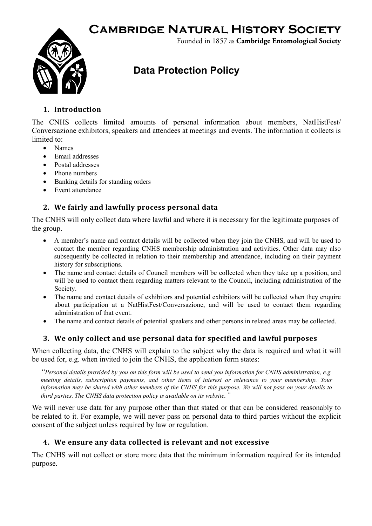# **Cambridge Natural History Society**



Founded in 1857 as **Cambridge Entomological Society**

## **Data Protection Policy**

#### **1. Introduction**

The CNHS collects limited amounts of personal information about members, NatHistFest/ Conversazione exhibitors, speakers and attendees at meetings and events. The information it collects is limited to:

- Names
- Email addresses
- Postal addresses
- Phone numbers
- Banking details for standing orders
- Event attendance

#### **2. We fairly and lawfully process personal data**

The CNHS will only collect data where lawful and where it is necessary for the legitimate purposes of the group.

- A member's name and contact details will be collected when they join the CNHS, and will be used to contact the member regarding CNHS membership administration and activities. Other data may also subsequently be collected in relation to their membership and attendance, including on their payment history for subscriptions.
- The name and contact details of Council members will be collected when they take up a position, and will be used to contact them regarding matters relevant to the Council, including administration of the Society.
- The name and contact details of exhibitors and potential exhibitors will be collected when they enquire about participation at a NatHistFest/Conversazione, and will be used to contact them regarding administration of that event.
- The name and contact details of potential speakers and other persons in related areas may be collected.

#### **3. We only collect and use personal data for specified and lawful purposes**

When collecting data, the CNHS will explain to the subject why the data is required and what it will be used for, e.g. when invited to join the CNHS, the application form states:

*"Personal details provided by you on this form will be used to send you information for CNHS administration, e.g. meeting details, subscription payments, and other items of interest or relevance to your membership. Your information may be shared with other members of the CNHS for this purpose. We will not pass on your details to third parties. The CNHS data protection policy is available on its website."*

We will never use data for any purpose other than that stated or that can be considered reasonably to be related to it. For example, we will never pass on personal data to third parties without the explicit consent of the subject unless required by law or regulation.

#### **4. We ensure any data collected is relevant and not excessive**

The CNHS will not collect or store more data that the minimum information required for its intended purpose.